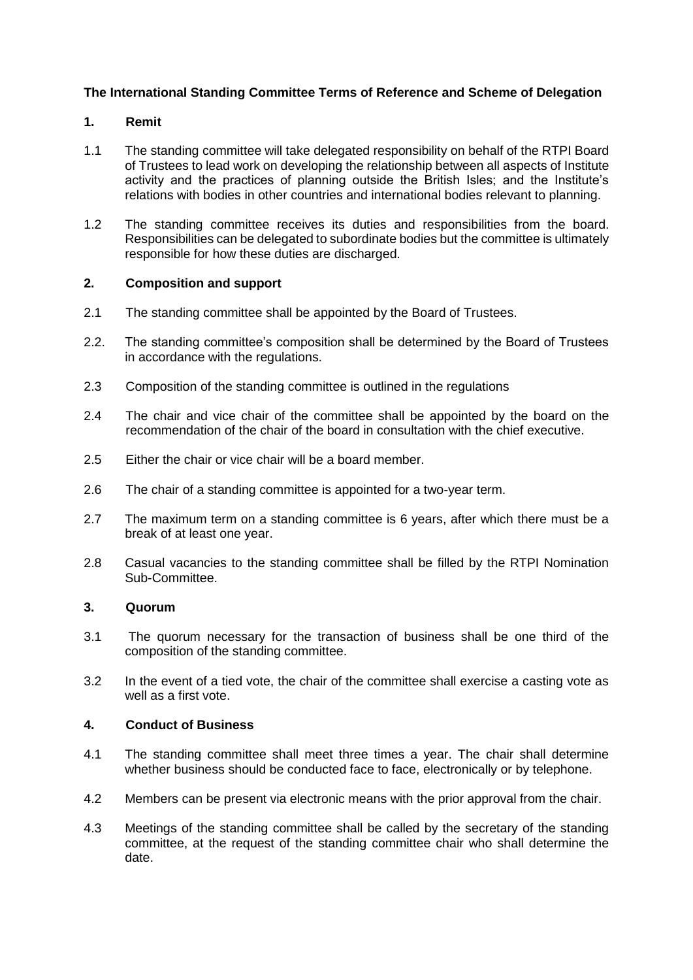# **The International Standing Committee Terms of Reference and Scheme of Delegation**

## **1. Remit**

- 1.1 The standing committee will take delegated responsibility on behalf of the RTPI Board of Trustees to lead work on developing the relationship between all aspects of Institute activity and the practices of planning outside the British Isles; and the Institute's relations with bodies in other countries and international bodies relevant to planning.
- 1.2 The standing committee receives its duties and responsibilities from the board. Responsibilities can be delegated to subordinate bodies but the committee is ultimately responsible for how these duties are discharged.

### **2. Composition and support**

- 2.1 The standing committee shall be appointed by the Board of Trustees.
- 2.2. The standing committee's composition shall be determined by the Board of Trustees in accordance with the regulations.
- 2.3 Composition of the standing committee is outlined in the regulations
- 2.4 The chair and vice chair of the committee shall be appointed by the board on the recommendation of the chair of the board in consultation with the chief executive.
- 2.5 Either the chair or vice chair will be a board member.
- 2.6 The chair of a standing committee is appointed for a two-year term.
- 2.7 The maximum term on a standing committee is 6 years, after which there must be a break of at least one year.
- 2.8 Casual vacancies to the standing committee shall be filled by the RTPI Nomination Sub-Committee.

### **3. Quorum**

- 3.1 The quorum necessary for the transaction of business shall be one third of the composition of the standing committee.
- 3.2 In the event of a tied vote, the chair of the committee shall exercise a casting vote as well as a first vote.

## **4. Conduct of Business**

- 4.1 The standing committee shall meet three times a year. The chair shall determine whether business should be conducted face to face, electronically or by telephone.
- 4.2 Members can be present via electronic means with the prior approval from the chair.
- 4.3 Meetings of the standing committee shall be called by the secretary of the standing committee, at the request of the standing committee chair who shall determine the date.